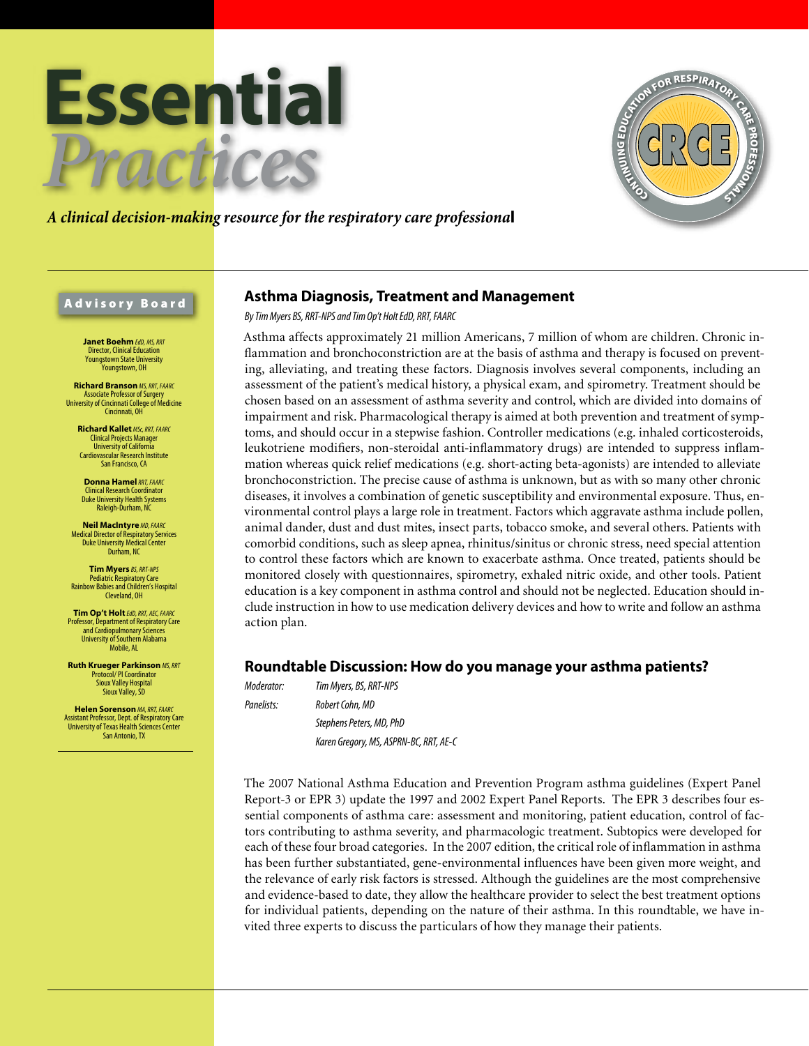



# *A clinical decision-making resource for the respiratory care professiona*l

# Advisory Board

**Janet Boehm** *EdD, MS, RRT* Director, Clinical Education Youngstown State University .<br>Younastown, OH

**Richard Branson** *MS, RRT, FAARC* Associate Professor of Surgery University of Cincinnati College of Medicine Cincinnati, OH

**Richard Kallet** *MSc, RRT, FAARC* Clinical Projects Manager University of California Cardiovascular Research Institute San Francisco, CA

**Donna Hamel***RRT, FAARC* Clinical Research Coordinator Duke University Health Systems Raleigh-Durham, NC

**Neil MacIntyre** *MD, FAARC* Medical Director of Respiratory Services Duke University Medical Center Durham, NC

**Tim Myers** *BS, RRT-NPS* Pediatric Respiratory Care Rainbow Babies and Children's Hospital Cleveland, OH

**Tim Op't Holt***EdD, RRT, AEC, FAARC* Professor, Department of Respiratory Care and Cardiopulmonary Sciences University of Southern Alabama Mobile, AL

**Ruth Krueger Parkinson** *MS, RRT* Protocol/ PI Coordinator Sioux Valley Hospital Sioux Valley, SD

**Helen Sorenson** *MA, RRT, FAARC* Assistant Professor, Dept. of Respiratory Care University of Texas Health Sciences Center San Antonio, TX

# **Asthma Diagnosis, Treatment and Management**

*By Tim Myers BS, RRT-NPS and Tim Op't Holt EdD, RRT, FAARC*

Asthma affects approximately 21 million Americans, 7 million of whom are children. Chronic inflammation and bronchoconstriction are at the basis of asthma and therapy is focused on preventing, alleviating, and treating these factors. Diagnosis involves several components, including an assessment of the patient's medical history, a physical exam, and spirometry. Treatment should be chosen based on an assessment of asthma severity and control, which are divided into domains of impairment and risk. Pharmacological therapy is aimed at both prevention and treatment of symptoms, and should occur in a stepwise fashion. Controller medications (e.g. inhaled corticosteroids, leukotriene modifiers, non-steroidal anti-inflammatory drugs) are intended to suppress inflammation whereas quick relief medications (e.g. short-acting beta-agonists) are intended to alleviate bronchoconstriction. The precise cause of asthma is unknown, but as with so many other chronic diseases, it involves a combination of genetic susceptibility and environmental exposure. Thus, environmental control plays a large role in treatment. Factors which aggravate asthma include pollen, animal dander, dust and dust mites, insect parts, tobacco smoke, and several others. Patients with comorbid conditions, such as sleep apnea, rhinitus/sinitus or chronic stress, need special attention to control these factors which are known to exacerbate asthma. Once treated, patients should be monitored closely with questionnaires, spirometry, exhaled nitric oxide, and other tools. Patient education is a key component in asthma control and should not be neglected. Education should include instruction in how to use medication delivery devices and how to write and follow an asthma action plan.

# **Roundtable Discussion: How do you manage your asthma patients?**

*Moderator: Tim Myers, BS, RRT-NPS Panelists: Robert Cohn, MD Stephens Peters, MD, PhD Karen Gregory, MS, ASPRN-BC, RRT, AE-C*

The 2007 National Asthma Education and Prevention Program asthma guidelines (Expert Panel Report-3 or EPR 3) update the 1997 and 2002 Expert Panel Reports. The EPR 3 describes four essential components of asthma care: assessment and monitoring, patient education, control of factors contributing to asthma severity, and pharmacologic treatment. Subtopics were developed for each of these four broad categories. In the 2007 edition, the critical role of inflammation in asthma has been further substantiated, gene-environmental influences have been given more weight, and the relevance of early risk factors is stressed. Although the guidelines are the most comprehensive and evidence-based to date, they allow the healthcare provider to select the best treatment options for individual patients, depending on the nature of their asthma. In this roundtable, we have invited three experts to discuss the particulars of how they manage their patients.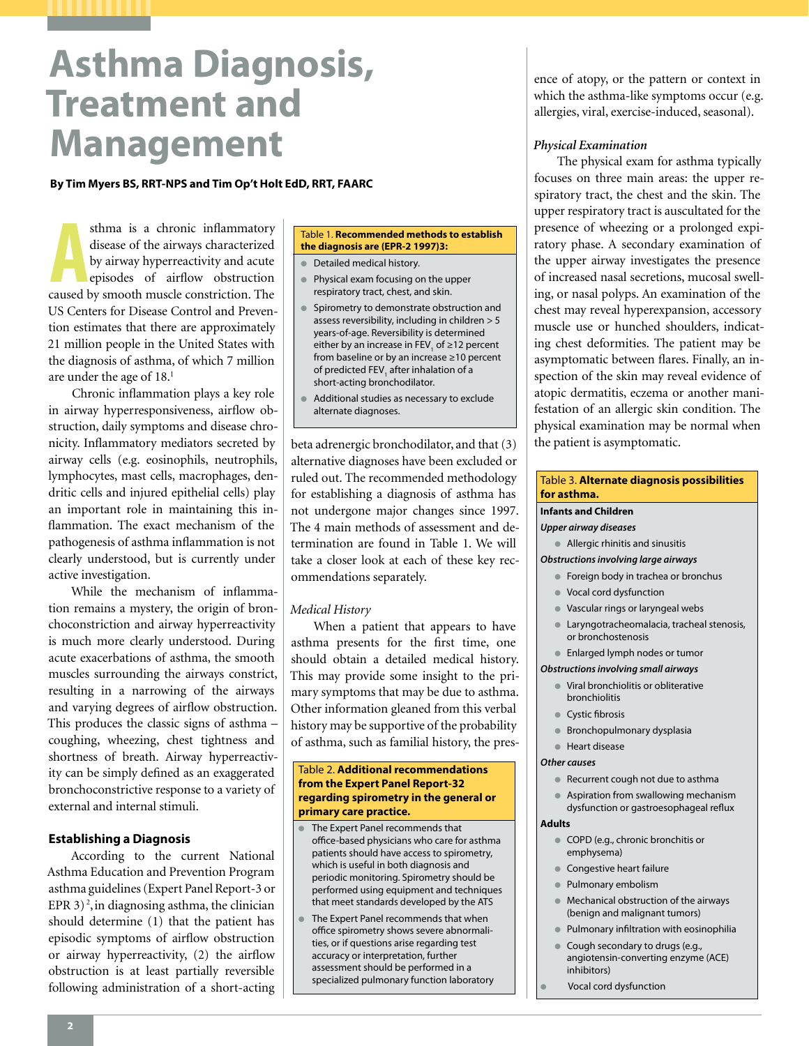# **Asthma Diagnosis, Treatment and Management**

**By Tim Myers BS, RRT-NPS and Tim Op't Holt EdD, RRT, FAARC**

sthma is a chronic inflammatory<br>disease of the airways characterized<br>by airway hyperreactivity and acute<br>episodes of airflow obstruction<br>caused by smooth muscle constriction. The sthma is a chronic inflammatory disease of the airways characterized by airway hyperreactivity and acute episodes of airflow obstruction US Centers for Disease Control and Prevention estimates that there are approximately 21 million people in the United States with the diagnosis of asthma, of which 7 million are under the age of  $18.<sup>1</sup>$ 

Chronic inflammation plays a key role in airway hyperresponsiveness, airflow obstruction, daily symptoms and disease chronicity. Inflammatory mediators secreted by airway cells (e.g. eosinophils, neutrophils, lymphocytes, mast cells, macrophages, dendritic cells and injured epithelial cells) play an important role in maintaining this inflammation. The exact mechanism of the pathogenesis of asthma inflammation is not clearly understood, but is currently under active investigation.

While the mechanism of inflammation remains a mystery, the origin of bronchoconstriction and airway hyperreactivity is much more clearly understood. During acute exacerbations of asthma, the smooth muscles surrounding the airways constrict, resulting in a narrowing of the airways and varying degrees of airflow obstruction. This produces the classic signs of asthma – coughing, wheezing, chest tightness and shortness of breath. Airway hyperreactivity can be simply defined as an exaggerated bronchoconstrictive response to a variety of external and internal stimuli.

# **Establishing a Diagnosis**

According to the current National Asthma Education and Prevention Program asthma guidelines (Expert Panel Report-3 or EPR 3)<sup>2</sup>, in diagnosing asthma, the clinician should determine (1) that the patient has episodic symptoms of airflow obstruction or airway hyperreactivity, (2) the airflow obstruction is at least partially reversible following administration of a short-acting

#### Table 1. **Recommended methods to establish the diagnosis are (EPR-2 1997)3:**

- Detailed medical history.
- Physical exam focusing on the upper respiratory tract, chest, and skin.
- Spirometry to demonstrate obstruction and assess reversibility, including in children > 5 years-of-age. Reversibility is determined either by an increase in FEV<sub>1</sub> of ≥12 percent from baseline or by an increase ≥10 percent of predicted FEV<sub>1</sub> after inhalation of a short-acting bronchodilator.
- Additional studies as necessary to exclude alternate diagnoses.

beta adrenergic bronchodilator, and that (3) alternative diagnoses have been excluded or ruled out. The recommended methodology for establishing a diagnosis of asthma has not undergone major changes since 1997. The 4 main methods of assessment and determination are found in Table 1. We will take a closer look at each of these key recommendations separately.

#### *Medical History*

When a patient that appears to have asthma presents for the first time, one should obtain a detailed medical history. This may provide some insight to the primary symptoms that may be due to asthma. Other information gleaned from this verbal history may be supportive of the probability of asthma, such as familial history, the pres-

#### Table 2. **Additional recommendations from the Expert Panel Report-32 regarding spirometry in the general or primary care practice.**

- The Expert Panel recommends that office-based physicians who care for asthma patients should have access to spirometry, which is useful in both diagnosis and periodic monitoring. Spirometry should be performed using equipment and techniques that meet standards developed by the ATS
- The Expert Panel recommends that when office spirometry shows severe abnormalities, or if questions arise regarding test accuracy or interpretation, further assessment should be performed in a specialized pulmonary function laboratory

ence of atopy, or the pattern or context in which the asthma-like symptoms occur (e.g. allergies, viral, exercise-induced, seasonal).

# *Physical Examination*

The physical exam for asthma typically focuses on three main areas: the upper respiratory tract, the chest and the skin. The upper respiratory tract is auscultated for the presence of wheezing or a prolonged expiratory phase. A secondary examination of the upper airway investigates the presence of increased nasal secretions, mucosal swelling, or nasal polyps. An examination of the chest may reveal hyperexpansion, accessory muscle use or hunched shoulders, indicating chest deformities. The patient may be asymptomatic between flares. Finally, an inspection of the skin may reveal evidence of atopic dermatitis, eczema or another manifestation of an allergic skin condition. The physical examination may be normal when the patient is asymptomatic.

#### Table 3. **Alternate diagnosis possibilities for asthma.**

#### **Infants and Children**

*Upper airway diseases*

# ● Allergic rhinitis and sinusitis

*Obstructions involving large airways*

- Foreign body in trachea or bronchus
- Vocal cord dysfunction
- Vascular rings or laryngeal webs
- Laryngotracheomalacia, tracheal stenosis, or bronchostenosis
- Enlarged lymph nodes or tumor
- *Obstructions involving small airways*
	- Viral bronchiolitis or obliterative bronchiolitis
	- Cystic fibrosis
	- Bronchopulmonary dysplasia
	- Heart disease

#### *Other causes*

- Recurrent cough not due to asthma
- Aspiration from swallowing mechanism
- dysfunction or gastroesophageal reflux

# **Adults**

- COPD (e.g., chronic bronchitis or emphysema)
- Congestive heart failure
- Pulmonary embolism
- Mechanical obstruction of the airways (benign and malignant tumors)
- Pulmonary infiltration with eosinophilia
- Cough secondary to drugs (e.g., angiotensin-converting enzyme (ACE) inhibitors)
- Vocal cord dysfunction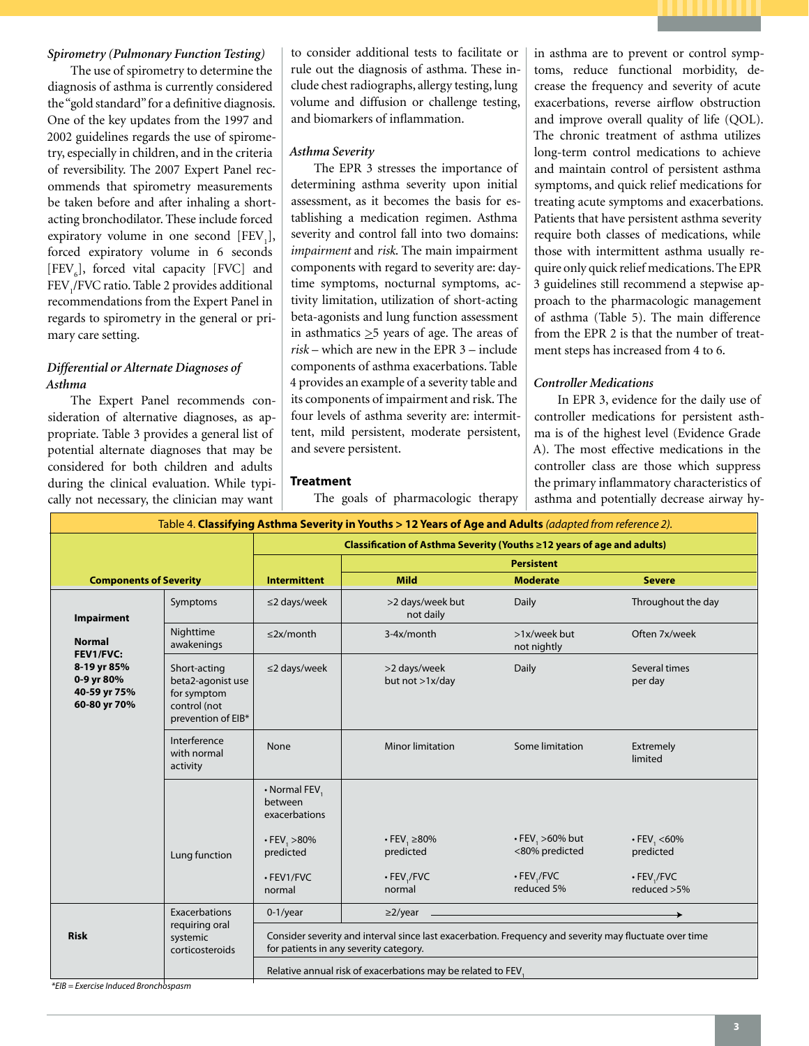# *Spirometry (Pulmonary Function Testing)*

The use of spirometry to determine the diagnosis of asthma is currently considered the "gold standard" for a definitive diagnosis. One of the key updates from the 1997 and 2002 guidelines regards the use of spirometry, especially in children, and in the criteria of reversibility. The 2007 Expert Panel recommends that spirometry measurements be taken before and after inhaling a shortacting bronchodilator. These include forced expiratory volume in one second  $[FEV<sub>1</sub>]$ , forced expiratory volume in 6 seconds [FEV $_{6}$ ], forced vital capacity [FVC] and FEV<sub>1</sub>/FVC ratio. Table 2 provides additional recommendations from the Expert Panel in regards to spirometry in the general or primary care setting.

# *Differential or Alternate Diagnoses of Asthma*

The Expert Panel recommends consideration of alternative diagnoses, as appropriate. Table 3 provides a general list of potential alternate diagnoses that may be considered for both children and adults during the clinical evaluation. While typically not necessary, the clinician may want

to consider additional tests to facilitate or rule out the diagnosis of asthma. These include chest radiographs, allergy testing, lung volume and diffusion or challenge testing, and biomarkers of inflammation.

# *Asthma Severity*

**Treatment**

The EPR 3 stresses the importance of determining asthma severity upon initial assessment, as it becomes the basis for establishing a medication regimen. Asthma severity and control fall into two domains: *impairment* and *risk*. The main impairment components with regard to severity are: daytime symptoms, nocturnal symptoms, activity limitation, utilization of short-acting beta-agonists and lung function assessment in asthmatics  $\geq$ 5 years of age. The areas of *risk* – which are new in the EPR 3 – include components of asthma exacerbations. Table 4 provides an example of a severity table and its components of impairment and risk. The four levels of asthma severity are: intermittent, mild persistent, moderate persistent, and severe persistent.

The goals of pharmacologic therapy

in asthma are to prevent or control symptoms, reduce functional morbidity, decrease the frequency and severity of acute exacerbations, reverse airflow obstruction and improve overall quality of life (QOL). The chronic treatment of asthma utilizes long-term control medications to achieve and maintain control of persistent asthma symptoms, and quick relief medications for treating acute symptoms and exacerbations. Patients that have persistent asthma severity require both classes of medications, while those with intermittent asthma usually require only quick relief medications. The EPR 3 guidelines still recommend a stepwise approach to the pharmacologic management of asthma (Table 5). The main difference from the EPR 2 is that the number of treatment steps has increased from 4 to 6.

#### *Controller Medications*

In EPR 3, evidence for the daily use of controller medications for persistent asthma is of the highest level (Evidence Grade A). The most effective medications in the controller class are those which suppress the primary inflammatory characteristics of asthma and potentially decrease airway hy-

| Table 4. Classifying Asthma Severity in Youths > 12 Years of Age and Adults (adapted from reference 2). |                                                                                        |                                                                                                                                                  |                                                                    |                                                                                           |                                                              |  |  |  |
|---------------------------------------------------------------------------------------------------------|----------------------------------------------------------------------------------------|--------------------------------------------------------------------------------------------------------------------------------------------------|--------------------------------------------------------------------|-------------------------------------------------------------------------------------------|--------------------------------------------------------------|--|--|--|
|                                                                                                         |                                                                                        | Classification of Asthma Severity (Youths ≥12 years of age and adults)                                                                           |                                                                    |                                                                                           |                                                              |  |  |  |
|                                                                                                         |                                                                                        | <b>Persistent</b>                                                                                                                                |                                                                    |                                                                                           |                                                              |  |  |  |
| <b>Components of Severity</b>                                                                           |                                                                                        | <b>Intermittent</b>                                                                                                                              | <b>Mild</b>                                                        | <b>Moderate</b>                                                                           | <b>Severe</b>                                                |  |  |  |
| Impairment<br><b>Normal</b><br>FEV1/FVC:<br>8-19 yr 85%<br>0-9 yr 80%<br>40-59 yr 75%<br>60-80 yr 70%   | Symptoms                                                                               | $\leq$ 2 days/week                                                                                                                               | >2 days/week but<br>not daily                                      | Daily                                                                                     | Throughout the day                                           |  |  |  |
|                                                                                                         | Nighttime<br>awakenings                                                                | $\leq$ 2x/month                                                                                                                                  | 3-4x/month                                                         | >1x/week but<br>not nightly                                                               | Often 7x/week                                                |  |  |  |
|                                                                                                         | Short-acting<br>beta2-agonist use<br>for symptom<br>control (not<br>prevention of EIB* | $\leq$ 2 days/week                                                                                                                               | >2 days/week<br>but not >1x/day                                    | Daily                                                                                     | Several times<br>per day                                     |  |  |  |
|                                                                                                         | Interference<br>with normal<br>activity                                                | None                                                                                                                                             | <b>Minor limitation</b>                                            | Some limitation                                                                           | Extremely<br>limited                                         |  |  |  |
|                                                                                                         | Lung function                                                                          | • Normal FEV,<br>between<br>exacerbations<br>$\cdot$ FEV, $>80\%$<br>predicted<br>· FEV1/FVC<br>normal                                           | $\cdot$ FEV, $\geq$ 80%<br>predicted<br>$\cdot$ FEV,/FVC<br>normal | $\cdot$ FEV, $>60\%$ but<br><80% predicted<br>$\cdot$ FEV <sub>1</sub> /FVC<br>reduced 5% | $\cdot$ FEV, <60%<br>predicted<br>· FEV,/FVC<br>reduced > 5% |  |  |  |
| <b>Risk</b>                                                                                             | Exacerbations<br>requiring oral<br>systemic<br>corticosteroids                         | $0-1$ /year                                                                                                                                      | $\geq$ 2/year $\qquad$                                             |                                                                                           |                                                              |  |  |  |
|                                                                                                         |                                                                                        | Consider severity and interval since last exacerbation. Frequency and severity may fluctuate over time<br>for patients in any severity category. |                                                                    |                                                                                           |                                                              |  |  |  |
|                                                                                                         |                                                                                        | Relative annual risk of exacerbations may be related to FEV,                                                                                     |                                                                    |                                                                                           |                                                              |  |  |  |

*\*EIB = Exercise Induced Bronchospasm*

#### **3**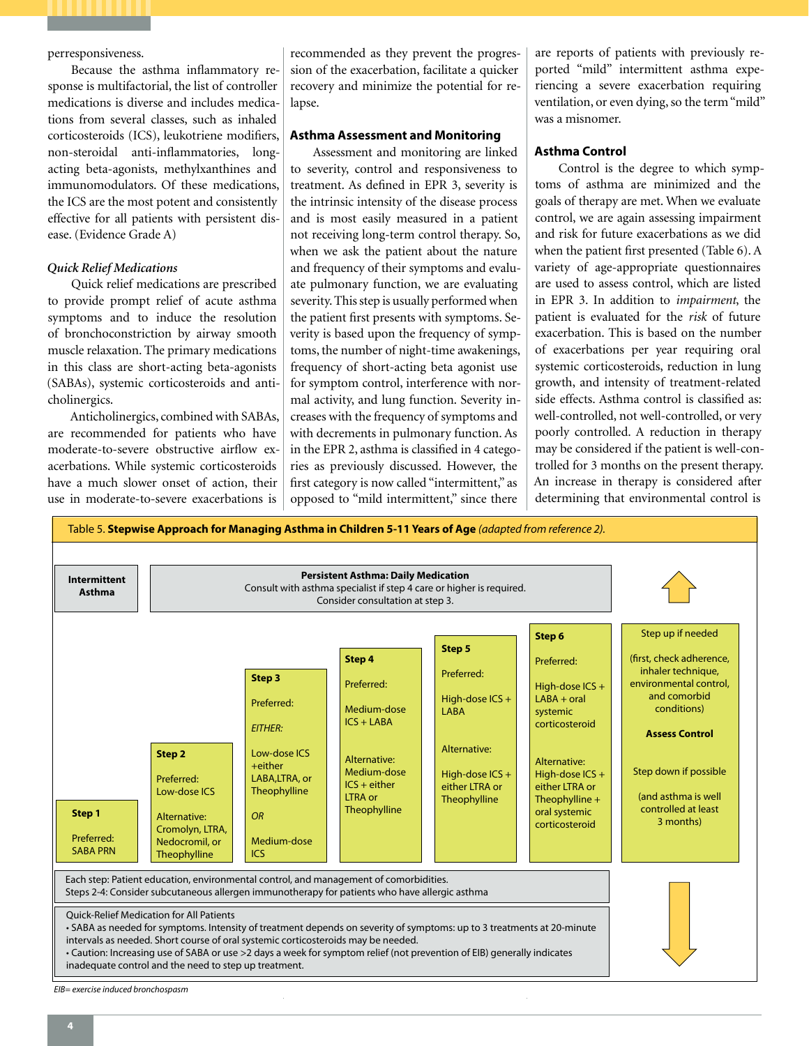# perresponsiveness.

Because the asthma inflammatory response is multifactorial, the list of controller medications is diverse and includes medications from several classes, such as inhaled corticosteroids (ICS), leukotriene modifiers, non-steroidal anti-inflammatories, longacting beta-agonists, methylxanthines and immunomodulators. Of these medications, the ICS are the most potent and consistently effective for all patients with persistent disease. (Evidence Grade A)

# *Quick Relief Medications*

Quick relief medications are prescribed to provide prompt relief of acute asthma symptoms and to induce the resolution of bronchoconstriction by airway smooth muscle relaxation. The primary medications in this class are short-acting beta-agonists (SABAs), systemic corticosteroids and anticholinergics.

Anticholinergics, combined with SABAs, are recommended for patients who have moderate-to-severe obstructive airflow exacerbations. While systemic corticosteroids have a much slower onset of action, their use in moderate-to-severe exacerbations is

recommended as they prevent the progression of the exacerbation, facilitate a quicker recovery and minimize the potential for relapse.

# **Asthma Assessment and Monitoring**

Assessment and monitoring are linked to severity, control and responsiveness to treatment. As defined in EPR 3, severity is the intrinsic intensity of the disease process and is most easily measured in a patient not receiving long-term control therapy. So, when we ask the patient about the nature and frequency of their symptoms and evaluate pulmonary function, we are evaluating severity. This step is usually performed when the patient first presents with symptoms. Severity is based upon the frequency of symptoms, the number of night-time awakenings, frequency of short-acting beta agonist use for symptom control, interference with normal activity, and lung function. Severity increases with the frequency of symptoms and with decrements in pulmonary function. As in the EPR 2, asthma is classified in 4 categories as previously discussed. However, the first category is now called "intermittent," as opposed to "mild intermittent," since there

are reports of patients with previously reported "mild" intermittent asthma experiencing a severe exacerbation requiring ventilation, or even dying, so the term "mild" was a misnomer.

# **Asthma Control**

Control is the degree to which symptoms of asthma are minimized and the goals of therapy are met. When we evaluate control, we are again assessing impairment and risk for future exacerbations as we did when the patient first presented (Table 6). A variety of age-appropriate questionnaires are used to assess control, which are listed in EPR 3. In addition to *impairment*, the patient is evaluated for the *risk* of future exacerbation. This is based on the number of exacerbations per year requiring oral systemic corticosteroids, reduction in lung growth, and intensity of treatment-related side effects. Asthma control is classified as: well-controlled, not well-controlled, or very poorly controlled. A reduction in therapy may be considered if the patient is well-controlled for 3 months on the present therapy. An increase in therapy is considered after determining that environmental control is

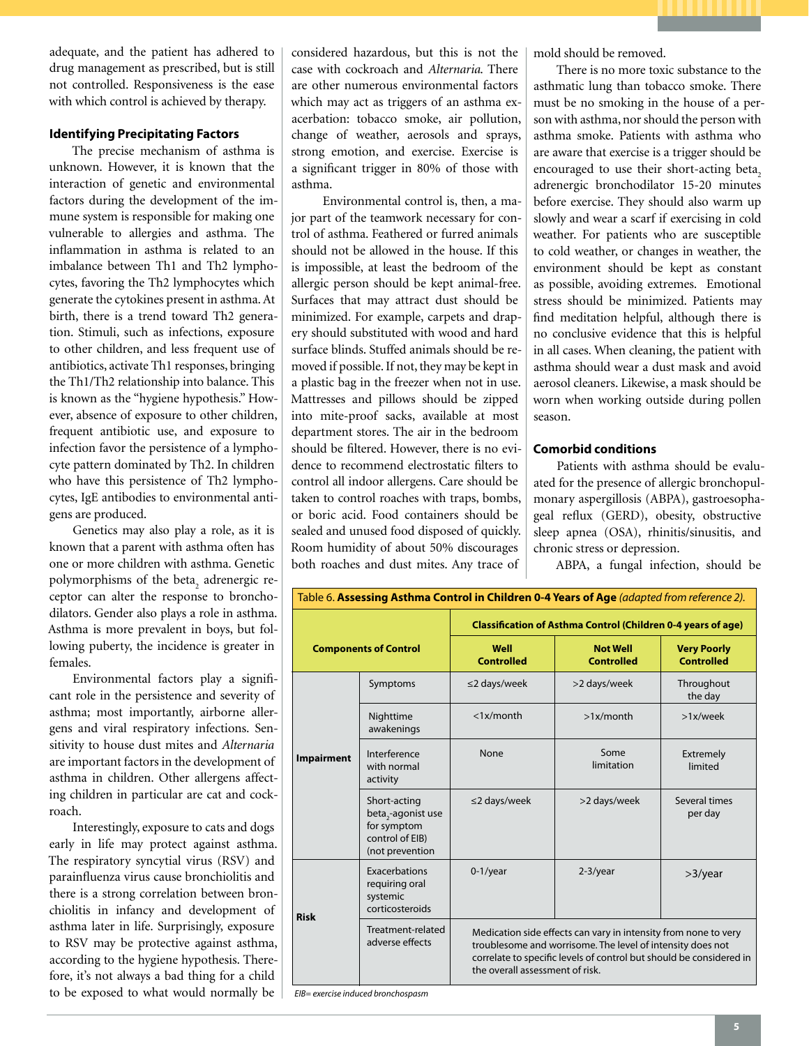adequate, and the patient has adhered to drug management as prescribed, but is still not controlled. Responsiveness is the ease with which control is achieved by therapy.

# **Identifying Precipitating Factors**

The precise mechanism of asthma is unknown. However, it is known that the interaction of genetic and environmental factors during the development of the immune system is responsible for making one vulnerable to allergies and asthma. The inflammation in asthma is related to an imbalance between Th1 and Th2 lymphocytes, favoring the Th2 lymphocytes which generate the cytokines present in asthma. At birth, there is a trend toward Th2 generation. Stimuli, such as infections, exposure to other children, and less frequent use of antibiotics, activate Th1 responses, bringing the Th1/Th2 relationship into balance. This is known as the "hygiene hypothesis." However, absence of exposure to other children, frequent antibiotic use, and exposure to infection favor the persistence of a lymphocyte pattern dominated by Th2. In children who have this persistence of Th2 lymphocytes, IgE antibodies to environmental antigens are produced.

Genetics may also play a role, as it is known that a parent with asthma often has one or more children with asthma. Genetic polymorphisms of the beta $_2$  adrenergic receptor can alter the response to bronchodilators. Gender also plays a role in asthma. Asthma is more prevalent in boys, but following puberty, the incidence is greater in females.

Environmental factors play a significant role in the persistence and severity of asthma; most importantly, airborne allergens and viral respiratory infections. Sensitivity to house dust mites and *Alternaria* are important factors in the development of asthma in children. Other allergens affecting children in particular are cat and cockroach.

Interestingly, exposure to cats and dogs early in life may protect against asthma. The respiratory syncytial virus (RSV) and parainfluenza virus cause bronchiolitis and there is a strong correlation between bronchiolitis in infancy and development of asthma later in life. Surprisingly, exposure to RSV may be protective against asthma, according to the hygiene hypothesis. Therefore, it's not always a bad thing for a child to be exposed to what would normally be

considered hazardous, but this is not the case with cockroach and *Alternaria*. There are other numerous environmental factors which may act as triggers of an asthma exacerbation: tobacco smoke, air pollution, change of weather, aerosols and sprays, strong emotion, and exercise. Exercise is a significant trigger in 80% of those with asthma.

Environmental control is, then, a major part of the teamwork necessary for control of asthma. Feathered or furred animals should not be allowed in the house. If this is impossible, at least the bedroom of the allergic person should be kept animal-free. Surfaces that may attract dust should be minimized. For example, carpets and drapery should substituted with wood and hard surface blinds. Stuffed animals should be removed if possible. If not, they may be kept in a plastic bag in the freezer when not in use. Mattresses and pillows should be zipped into mite-proof sacks, available at most department stores. The air in the bedroom should be filtered. However, there is no evidence to recommend electrostatic filters to control all indoor allergens. Care should be taken to control roaches with traps, bombs, or boric acid. Food containers should be sealed and unused food disposed of quickly. Room humidity of about 50% discourages both roaches and dust mites. Any trace of mold should be removed.

There is no more toxic substance to the asthmatic lung than tobacco smoke. There must be no smoking in the house of a person with asthma, nor should the person with asthma smoke. Patients with asthma who are aware that exercise is a trigger should be encouraged to use their short-acting beta, adrenergic bronchodilator 15-20 minutes before exercise. They should also warm up slowly and wear a scarf if exercising in cold weather. For patients who are susceptible to cold weather, or changes in weather, the environment should be kept as constant as possible, avoiding extremes. Emotional stress should be minimized. Patients may find meditation helpful, although there is no conclusive evidence that this is helpful in all cases. When cleaning, the patient with asthma should wear a dust mask and avoid aerosol cleaners. Likewise, a mask should be worn when working outside during pollen season.

# **Comorbid conditions**

Patients with asthma should be evaluated for the presence of allergic bronchopulmonary aspergillosis (ABPA), gastroesophageal reflux (GERD), obesity, obstructive sleep apnea (OSA), rhinitis/sinusitis, and chronic stress or depression.

ABPA, a fungal infection, should be

| Table 6. Assessing Asthma Control in Children 0-4 Years of Age (adapted from reference 2). |                                                                                                     |                                                                                                                                                                                                                                         |                                      |                                         |  |  |  |
|--------------------------------------------------------------------------------------------|-----------------------------------------------------------------------------------------------------|-----------------------------------------------------------------------------------------------------------------------------------------------------------------------------------------------------------------------------------------|--------------------------------------|-----------------------------------------|--|--|--|
| <b>Components of Control</b>                                                               |                                                                                                     | <b>Classification of Asthma Control (Children 0-4 years of age)</b>                                                                                                                                                                     |                                      |                                         |  |  |  |
|                                                                                            |                                                                                                     | Well<br><b>Controlled</b>                                                                                                                                                                                                               | <b>Not Well</b><br><b>Controlled</b> | <b>Very Poorly</b><br><b>Controlled</b> |  |  |  |
|                                                                                            | Symptoms                                                                                            | $\leq$ 2 days/week                                                                                                                                                                                                                      | >2 days/week                         | Throughout<br>the day                   |  |  |  |
| <b>Impairment</b>                                                                          | Nighttime<br>awakenings                                                                             | $<$ 1x/month                                                                                                                                                                                                                            | $>1x/m$ onth                         | >1x/week                                |  |  |  |
|                                                                                            | Interference<br>with normal<br>activity                                                             | None                                                                                                                                                                                                                                    | Some<br>limitation                   | Extremely<br>limited                    |  |  |  |
|                                                                                            | Short-acting<br>beta <sub>,</sub> -agonist use<br>for symptom<br>control of EIB)<br>(not prevention | $\leq$ 2 days/week                                                                                                                                                                                                                      | >2 days/week                         | Several times<br>per day                |  |  |  |
| <b>Risk</b>                                                                                | Exacerbations<br>requiring oral<br>systemic<br>corticosteroids                                      | $0-1$ /year                                                                                                                                                                                                                             | $2-3$ /year                          | $>3$ /year                              |  |  |  |
|                                                                                            | Treatment-related<br>adverse effects                                                                | Medication side effects can vary in intensity from none to very<br>troublesome and worrisome. The level of intensity does not<br>correlate to specific levels of control but should be considered in<br>the overall assessment of risk. |                                      |                                         |  |  |  |

*EIB= exercise induced bronchospasm*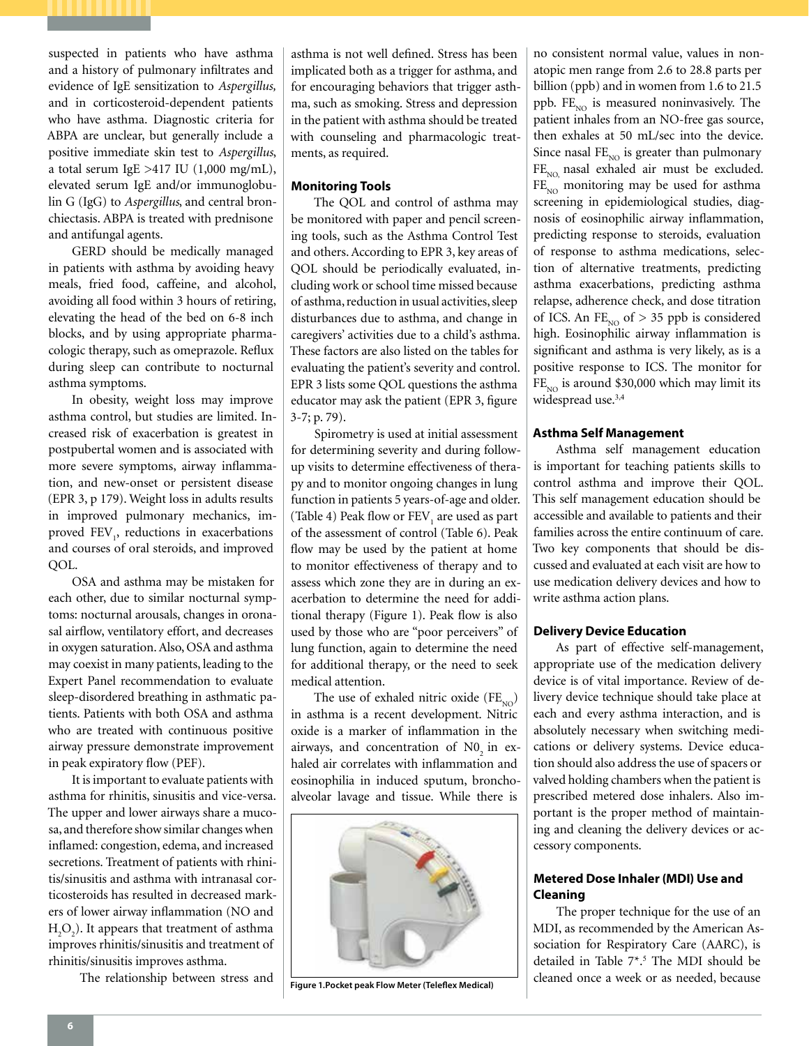suspected in patients who have asthma and a history of pulmonary infiltrates and evidence of IgE sensitization to *Aspergillus,* and in corticosteroid-dependent patients who have asthma. Diagnostic criteria for ABPA are unclear, but generally include a positive immediate skin test to *Aspergillus*, a total serum IgE > 417 IU  $(1,000 \text{ mg/mL})$ , elevated serum IgE and/or immunoglobulin G (IgG) to *Aspergillus*, and central bronchiectasis. ABPA is treated with prednisone and antifungal agents.

GERD should be medically managed in patients with asthma by avoiding heavy meals, fried food, caffeine, and alcohol, avoiding all food within 3 hours of retiring, elevating the head of the bed on 6-8 inch blocks, and by using appropriate pharmacologic therapy, such as omeprazole. Reflux during sleep can contribute to nocturnal asthma symptoms.

In obesity, weight loss may improve asthma control, but studies are limited. Increased risk of exacerbation is greatest in postpubertal women and is associated with more severe symptoms, airway inflammation, and new-onset or persistent disease (EPR 3, p 179). Weight loss in adults results in improved pulmonary mechanics, improved FEV<sub>1</sub>, reductions in exacerbations and courses of oral steroids, and improved QOL.

OSA and asthma may be mistaken for each other, due to similar nocturnal symptoms: nocturnal arousals, changes in oronasal airflow, ventilatory effort, and decreases in oxygen saturation. Also, OSA and asthma may coexist in many patients, leading to the Expert Panel recommendation to evaluate sleep-disordered breathing in asthmatic patients. Patients with both OSA and asthma who are treated with continuous positive airway pressure demonstrate improvement in peak expiratory flow (PEF).

It is important to evaluate patients with asthma for rhinitis, sinusitis and vice-versa. The upper and lower airways share a mucosa, and therefore show similar changes when inflamed: congestion, edema, and increased secretions. Treatment of patients with rhinitis/sinusitis and asthma with intranasal corticosteroids has resulted in decreased markers of lower airway inflammation (NO and  $H_2O_2$ ). It appears that treatment of asthma improves rhinitis/sinusitis and treatment of rhinitis/sinusitis improves asthma.

The relationship between stress and

asthma is not well defined. Stress has been implicated both as a trigger for asthma, and for encouraging behaviors that trigger asthma, such as smoking. Stress and depression in the patient with asthma should be treated with counseling and pharmacologic treatments, as required.

# **Monitoring Tools**

The QOL and control of asthma may be monitored with paper and pencil screening tools, such as the Asthma Control Test and others. According to EPR 3, key areas of QOL should be periodically evaluated, including work or school time missed because of asthma, reduction in usual activities, sleep disturbances due to asthma, and change in caregivers' activities due to a child's asthma. These factors are also listed on the tables for evaluating the patient's severity and control. EPR 3 lists some QOL questions the asthma educator may ask the patient (EPR 3, figure 3-7; p. 79).

Spirometry is used at initial assessment for determining severity and during followup visits to determine effectiveness of therapy and to monitor ongoing changes in lung function in patients 5 years-of-age and older. (Table 4) Peak flow or  $\mathrm{FEV}_1$  are used as part of the assessment of control (Table 6). Peak flow may be used by the patient at home to monitor effectiveness of therapy and to assess which zone they are in during an exacerbation to determine the need for additional therapy (Figure 1). Peak flow is also used by those who are "poor perceivers" of lung function, again to determine the need for additional therapy, or the need to seek medical attention.

The use of exhaled nitric oxide  $(FE_{NO})$ in asthma is a recent development. Nitric oxide is a marker of inflammation in the airways, and concentration of  $N0<sub>2</sub>$  in exhaled air correlates with inflammation and eosinophilia in induced sputum, bronchoalveolar lavage and tissue. While there is



no consistent normal value, values in nonatopic men range from 2.6 to 28.8 parts per billion (ppb) and in women from 1.6 to 21.5 ppb. FE<sub>NO</sub> is measured noninvasively. The patient inhales from an NO-free gas source, then exhales at 50 mL/sec into the device. Since nasal  $FE_{NO}$  is greater than pulmonary  $FE<sub>NO</sub>$  nasal exhaled air must be excluded.  $FE<sub>NO</sub>$  monitoring may be used for asthma screening in epidemiological studies, diagnosis of eosinophilic airway inflammation, predicting response to steroids, evaluation of response to asthma medications, selection of alternative treatments, predicting asthma exacerbations, predicting asthma relapse, adherence check, and dose titration of ICS. An  $FE_{NO}$  of  $> 35$  ppb is considered high. Eosinophilic airway inflammation is significant and asthma is very likely, as is a positive response to ICS. The monitor for  $FE<sub>NO</sub>$  is around \$30,000 which may limit its widespread use.<sup>3,4</sup>

# **Asthma Self Management**

Asthma self management education is important for teaching patients skills to control asthma and improve their QOL. This self management education should be accessible and available to patients and their families across the entire continuum of care. Two key components that should be discussed and evaluated at each visit are how to use medication delivery devices and how to write asthma action plans.

#### **Delivery Device Education**

As part of effective self-management, appropriate use of the medication delivery device is of vital importance. Review of delivery device technique should take place at each and every asthma interaction, and is absolutely necessary when switching medications or delivery systems. Device education should also address the use of spacers or valved holding chambers when the patient is prescribed metered dose inhalers. Also important is the proper method of maintaining and cleaning the delivery devices or accessory components.

# **Metered Dose Inhaler (MDI) Use and Cleaning**

The proper technique for the use of an MDI, as recommended by the American Association for Respiratory Care (AARC), is detailed in Table 7\*.<sup>5</sup> The MDI should be **Example 1.Pocket peak Flow Meter (Teleflex Medical)** cleaned once a week or as needed, because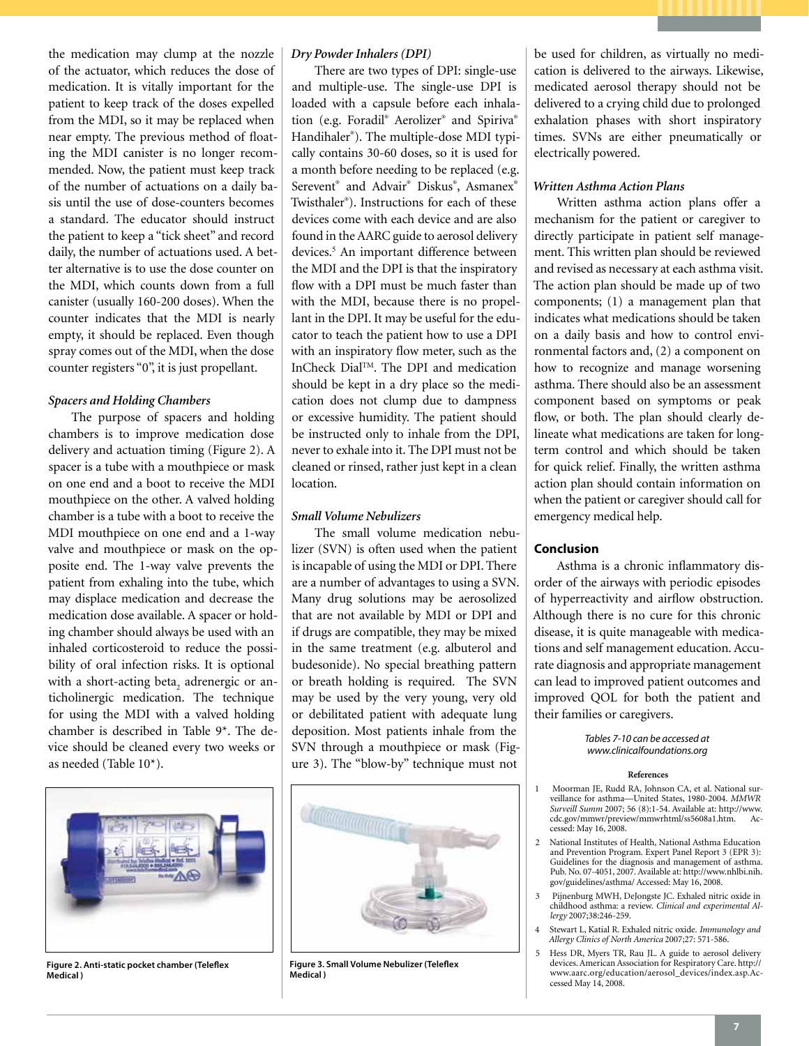the medication may clump at the nozzle of the actuator, which reduces the dose of medication. It is vitally important for the patient to keep track of the doses expelled from the MDI, so it may be replaced when near empty. The previous method of floating the MDI canister is no longer recommended. Now, the patient must keep track of the number of actuations on a daily basis until the use of dose-counters becomes a standard. The educator should instruct the patient to keep a "tick sheet" and record daily, the number of actuations used. A better alternative is to use the dose counter on the MDI, which counts down from a full canister (usually 160-200 doses). When the counter indicates that the MDI is nearly empty, it should be replaced. Even though spray comes out of the MDI, when the dose counter registers "0", it is just propellant.

# *Spacers and Holding Chambers*

The purpose of spacers and holding chambers is to improve medication dose delivery and actuation timing (Figure 2). A spacer is a tube with a mouthpiece or mask on one end and a boot to receive the MDI mouthpiece on the other. A valved holding chamber is a tube with a boot to receive the MDI mouthpiece on one end and a 1-way valve and mouthpiece or mask on the opposite end. The 1-way valve prevents the patient from exhaling into the tube, which may displace medication and decrease the medication dose available. A spacer or holding chamber should always be used with an inhaled corticosteroid to reduce the possibility of oral infection risks. It is optional with a short-acting beta<sub>2</sub> adrenergic or anticholinergic medication. The technique for using the MDI with a valved holding chamber is described in Table 9\*. The device should be cleaned every two weeks or as needed (Table 10\*).



**Figure 2. Anti-static pocket chamber (Teleflex Medical )**

#### *Dry Powder Inhalers (DPI)*

There are two types of DPI: single-use and multiple-use. The single-use DPI is loaded with a capsule before each inhalation (e.g. Foradil® Aerolizer® and Spiriva® Handihaler® ). The multiple-dose MDI typically contains 30-60 doses, so it is used for a month before needing to be replaced (e.g. Serevent® and Advair® Diskus® , Asmanex® Twisthaler® ). Instructions for each of these devices come with each device and are also found in the AARC guide to aerosol delivery devices.<sup>5</sup> An important difference between the MDI and the DPI is that the inspiratory flow with a DPI must be much faster than with the MDI, because there is no propellant in the DPI. It may be useful for the educator to teach the patient how to use a DPI with an inspiratory flow meter, such as the InCheck DialTM. The DPI and medication should be kept in a dry place so the medication does not clump due to dampness or excessive humidity. The patient should be instructed only to inhale from the DPI, never to exhale into it. The DPI must not be cleaned or rinsed, rather just kept in a clean location.

# *Small Volume Nebulizers*

The small volume medication nebulizer (SVN) is often used when the patient is incapable of using the MDI or DPI. There are a number of advantages to using a SVN. Many drug solutions may be aerosolized that are not available by MDI or DPI and if drugs are compatible, they may be mixed in the same treatment (e.g. albuterol and budesonide). No special breathing pattern or breath holding is required. The SVN may be used by the very young, very old or debilitated patient with adequate lung deposition. Most patients inhale from the SVN through a mouthpiece or mask (Figure 3). The "blow-by" technique must not



**Figure 3. Small Volume Nebulizer (Teleflex Medical )**

be used for children, as virtually no medication is delivered to the airways. Likewise, medicated aerosol therapy should not be delivered to a crying child due to prolonged exhalation phases with short inspiratory times. SVNs are either pneumatically or electrically powered.

#### *Written Asthma Action Plans*

Written asthma action plans offer a mechanism for the patient or caregiver to directly participate in patient self management. This written plan should be reviewed and revised as necessary at each asthma visit. The action plan should be made up of two components; (1) a management plan that indicates what medications should be taken on a daily basis and how to control environmental factors and, (2) a component on how to recognize and manage worsening asthma. There should also be an assessment component based on symptoms or peak flow, or both. The plan should clearly delineate what medications are taken for longterm control and which should be taken for quick relief. Finally, the written asthma action plan should contain information on when the patient or caregiver should call for emergency medical help.

#### **Conclusion**

Asthma is a chronic inflammatory disorder of the airways with periodic episodes of hyperreactivity and airflow obstruction. Although there is no cure for this chronic disease, it is quite manageable with medications and self management education. Accurate diagnosis and appropriate management can lead to improved patient outcomes and improved QOL for both the patient and their families or caregivers.

> *Tables 7-10 can be accessed at www.clinicalfoundations.org*

#### **References**

- 1 Moorman JE, Rudd RA, Johnson CA, et al. National surveillance for asthma—United States, 1980-2004. *MMWR Surveill Summ* 2007; 56 (8):1-54. Available at: http://www. cdc.gov/mmwr/preview/mmwrhtml/ss5608a1.htm. cessed: May 16, 2008.
- 2 National Institutes of Health, National Asthma Education and Prevention Program. Expert Panel Report 3 (EPR 3): Guidelines for the diagnosis and management of asthma. Pub. No. 07-4051, 2007. Available at: http://www.nhlbi.nih. gov/guidelines/asthma/ Accessed: May 16, 2008.
- 3 Pijnenburg MWH, DeJongste JC. Exhaled nitric oxide in childhood asthma: a review. *Clinical and experimental Allergy* 2007;38:246-259.
- 4 Stewart L, Katial R. Exhaled nitric oxide. *Immunology and Allergy Clinics of North America* 2007;27: 571-586.
- 5 Hess DR, Myers TR, Rau JL. A guide to aerosol delivery devices. American Association for Respiratory Care. http:// www.aarc.org/education/aerosol\_devices/index.asp.Accessed May 14, 2008.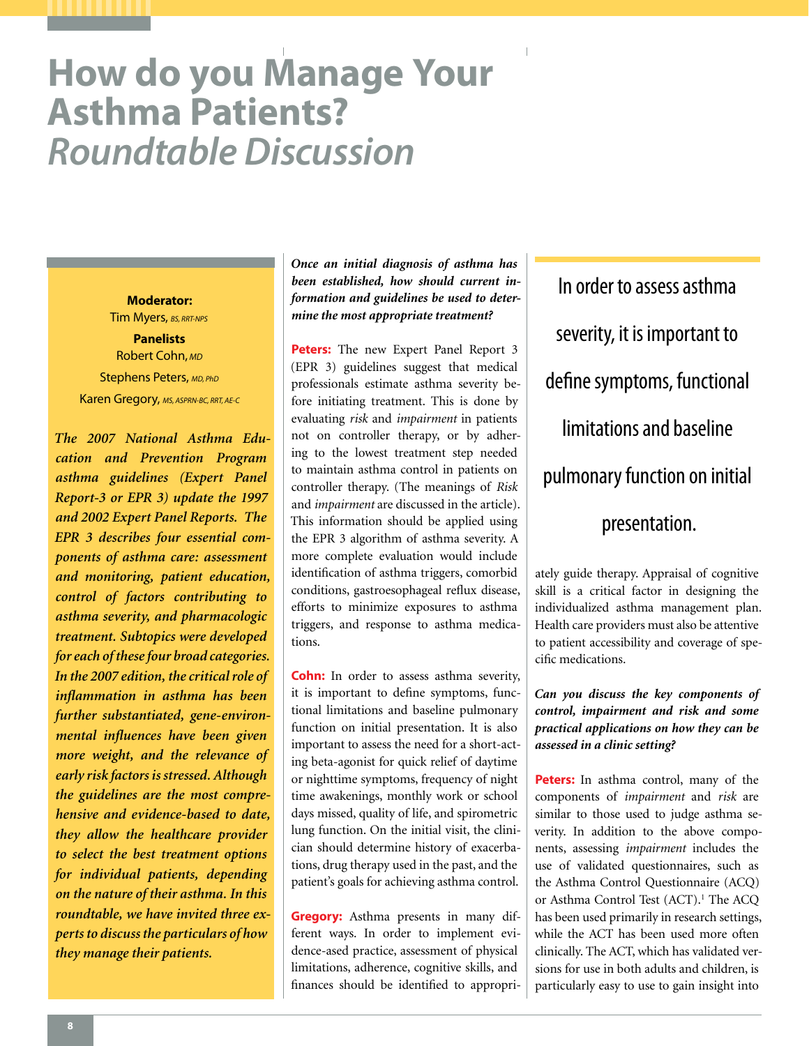# **How do you Manage Your Asthma Patients?**  *Roundtable Discussion*

Tim Myers, *BS, RRT-NPS* **Panelists** Robert Cohn, *MD* Stephens Peters, *MD, PhD* Karen Gregory, *MS, ASPRN-BC, RRT, AE-C*

**Moderator:**

*The 2007 National Asthma Education and Prevention Program asthma guidelines (Expert Panel Report-3 or EPR 3) update the 1997 and 2002 Expert Panel Reports. The EPR 3 describes four essential components of asthma care: assessment and monitoring, patient education, control of factors contributing to asthma severity, and pharmacologic treatment. Subtopics were developed for each of these four broad categories. In the 2007 edition, the critical role of inflammation in asthma has been further substantiated, gene-environmental influences have been given more weight, and the relevance of early risk factors is stressed. Although the guidelines are the most comprehensive and evidence-based to date, they allow the healthcare provider to select the best treatment options for individual patients, depending on the nature of their asthma. In this roundtable, we have invited three experts to discuss the particulars of how they manage their patients.*

*Once an initial diagnosis of asthma has been established, how should current information and guidelines be used to determine the most appropriate treatment?*

**Peters:** The new Expert Panel Report 3 (EPR 3) guidelines suggest that medical professionals estimate asthma severity before initiating treatment. This is done by evaluating *risk* and *impairment* in patients not on controller therapy, or by adhering to the lowest treatment step needed to maintain asthma control in patients on controller therapy. (The meanings of *Risk*  and *impairment* are discussed in the article). This information should be applied using the EPR 3 algorithm of asthma severity. A more complete evaluation would include identification of asthma triggers, comorbid conditions, gastroesophageal reflux disease, efforts to minimize exposures to asthma triggers, and response to asthma medications.

**Cohn:** In order to assess asthma severity, it is important to define symptoms, functional limitations and baseline pulmonary function on initial presentation. It is also important to assess the need for a short-acting beta-agonist for quick relief of daytime or nighttime symptoms, frequency of night time awakenings, monthly work or school days missed, quality of life, and spirometric lung function. On the initial visit, the clinician should determine history of exacerbations, drug therapy used in the past, and the patient's goals for achieving asthma control.

**Gregory:** Asthma presents in many different ways. In order to implement evidence-ased practice, assessment of physical limitations, adherence, cognitive skills, and finances should be identified to appropri-

In order to assess asthma severity, it is important to define symptoms, functional limitations and baseline pulmonary function on initial presentation.

ately guide therapy. Appraisal of cognitive skill is a critical factor in designing the individualized asthma management plan. Health care providers must also be attentive to patient accessibility and coverage of specific medications.

*Can you discuss the key components of control, impairment and risk and some practical applications on how they can be assessed in a clinic setting?*

**Peters:** In asthma control, many of the components of *impairment* and *risk* are similar to those used to judge asthma severity. In addition to the above components, assessing *impairment* includes the use of validated questionnaires, such as the Asthma Control Questionnaire (ACQ) or Asthma Control Test (ACT).<sup>1</sup> The ACQ has been used primarily in research settings, while the ACT has been used more often clinically. The ACT, which has validated versions for use in both adults and children, is particularly easy to use to gain insight into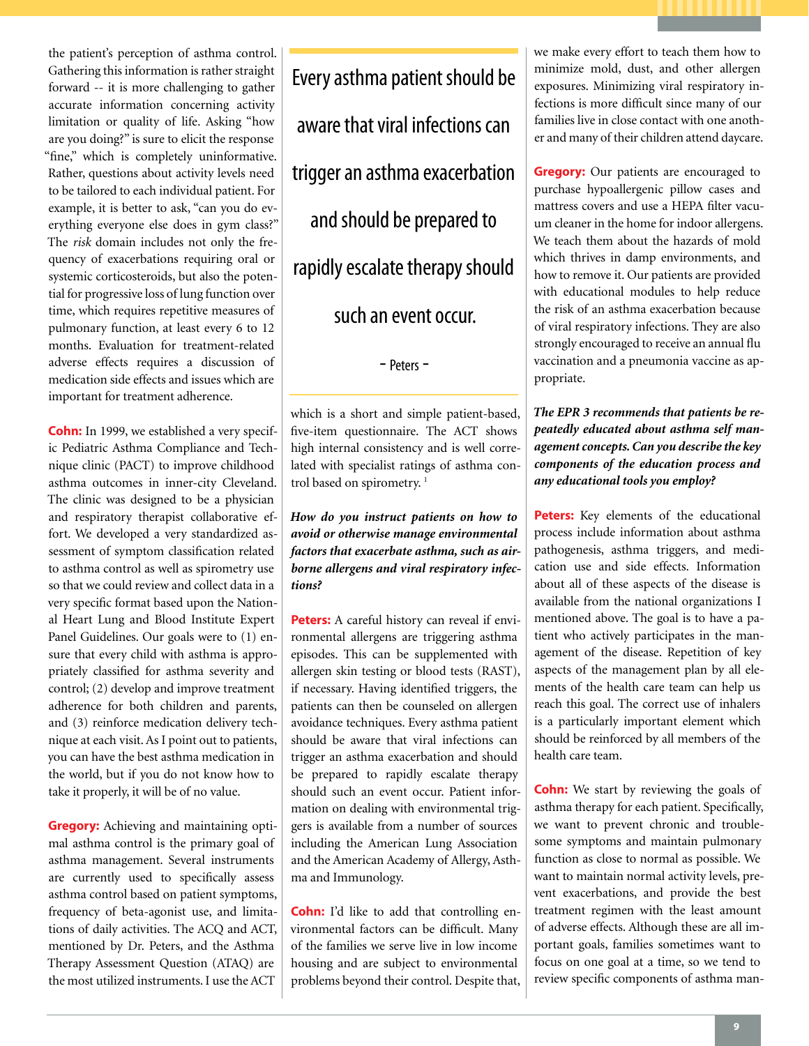the patient's perception of asthma control. Gathering this information is rather straight forward -- it is more challenging to gather accurate information concerning activity limitation or quality of life. Asking "how are you doing?" is sure to elicit the response "fine," which is completely uninformative. Rather, questions about activity levels need to be tailored to each individual patient. For example, it is better to ask, "can you do everything everyone else does in gym class?" The *risk* domain includes not only the frequency of exacerbations requiring oral or systemic corticosteroids, but also the potential for progressive loss of lung function over time, which requires repetitive measures of pulmonary function, at least every 6 to 12 months. Evaluation for treatment-related adverse effects requires a discussion of medication side effects and issues which are important for treatment adherence.

**Cohn:** In 1999, we established a very specific Pediatric Asthma Compliance and Technique clinic (PACT) to improve childhood asthma outcomes in inner-city Cleveland. The clinic was designed to be a physician and respiratory therapist collaborative effort. We developed a very standardized assessment of symptom classification related to asthma control as well as spirometry use so that we could review and collect data in a very specific format based upon the National Heart Lung and Blood Institute Expert Panel Guidelines. Our goals were to (1) ensure that every child with asthma is appropriately classified for asthma severity and control; (2) develop and improve treatment adherence for both children and parents, and (3) reinforce medication delivery technique at each visit. As I point out to patients, you can have the best asthma medication in the world, but if you do not know how to take it properly, it will be of no value.

**Gregory:** Achieving and maintaining optimal asthma control is the primary goal of asthma management. Several instruments are currently used to specifically assess asthma control based on patient symptoms, frequency of beta-agonist use, and limitations of daily activities. The ACQ and ACT, mentioned by Dr. Peters, and the Asthma Therapy Assessment Question (ATAQ) are the most utilized instruments. I use the ACT

Every asthma patient should be aware that viral infections can trigger an asthma exacerbation and should be prepared to rapidly escalate therapy should such an event occur.

- Peters -

which is a short and simple patient-based, five-item questionnaire. The ACT shows high internal consistency and is well correlated with specialist ratings of asthma control based on spirometry.<sup>1</sup>

*How do you instruct patients on how to avoid or otherwise manage environmental factors that exacerbate asthma, such as airborne allergens and viral respiratory infections?*

**Peters:** A careful history can reveal if environmental allergens are triggering asthma episodes. This can be supplemented with allergen skin testing or blood tests (RAST), if necessary. Having identified triggers, the patients can then be counseled on allergen avoidance techniques. Every asthma patient should be aware that viral infections can trigger an asthma exacerbation and should be prepared to rapidly escalate therapy should such an event occur. Patient information on dealing with environmental triggers is available from a number of sources including the American Lung Association and the American Academy of Allergy, Asthma and Immunology.

**Cohn:** I'd like to add that controlling environmental factors can be difficult. Many of the families we serve live in low income housing and are subject to environmental problems beyond their control. Despite that, we make every effort to teach them how to minimize mold, dust, and other allergen exposures. Minimizing viral respiratory infections is more difficult since many of our families live in close contact with one another and many of their children attend daycare.

**Gregory:** Our patients are encouraged to purchase hypoallergenic pillow cases and mattress covers and use a HEPA filter vacuum cleaner in the home for indoor allergens. We teach them about the hazards of mold which thrives in damp environments, and how to remove it. Our patients are provided with educational modules to help reduce the risk of an asthma exacerbation because of viral respiratory infections. They are also strongly encouraged to receive an annual flu vaccination and a pneumonia vaccine as appropriate.

*The EPR 3 recommends that patients be repeatedly educated about asthma self management concepts. Can you describe the key components of the education process and any educational tools you employ?*

**Peters:** Key elements of the educational process include information about asthma pathogenesis, asthma triggers, and medication use and side effects. Information about all of these aspects of the disease is available from the national organizations I mentioned above. The goal is to have a patient who actively participates in the management of the disease. Repetition of key aspects of the management plan by all elements of the health care team can help us reach this goal. The correct use of inhalers is a particularly important element which should be reinforced by all members of the health care team.

**Cohn:** We start by reviewing the goals of asthma therapy for each patient. Specifically, we want to prevent chronic and troublesome symptoms and maintain pulmonary function as close to normal as possible. We want to maintain normal activity levels, prevent exacerbations, and provide the best treatment regimen with the least amount of adverse effects. Although these are all important goals, families sometimes want to focus on one goal at a time, so we tend to review specific components of asthma man-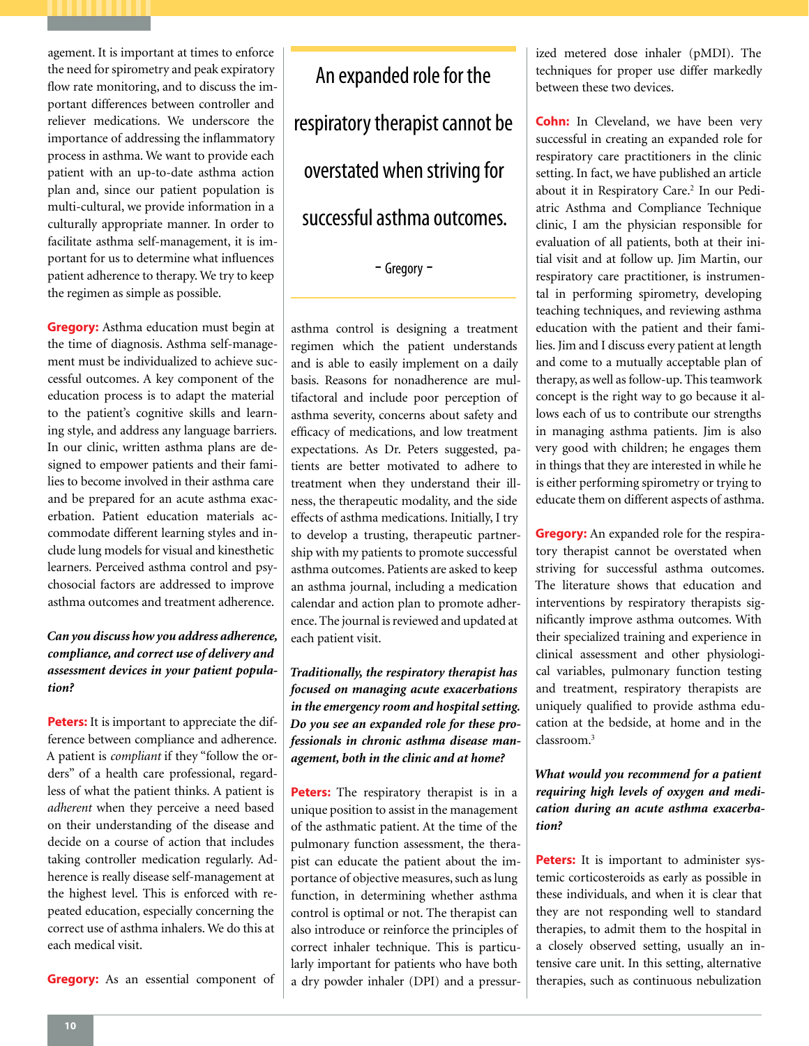agement. It is important at times to enforce the need for spirometry and peak expiratory flow rate monitoring, and to discuss the important differences between controller and reliever medications. We underscore the importance of addressing the inflammatory process in asthma. We want to provide each patient with an up-to-date asthma action plan and, since our patient population is multi-cultural, we provide information in a culturally appropriate manner. In order to facilitate asthma self-management, it is important for us to determine what influences patient adherence to therapy. We try to keep the regimen as simple as possible.

**Gregory:** Asthma education must begin at the time of diagnosis. Asthma self-management must be individualized to achieve successful outcomes. A key component of the education process is to adapt the material to the patient's cognitive skills and learning style, and address any language barriers. In our clinic, written asthma plans are designed to empower patients and their families to become involved in their asthma care and be prepared for an acute asthma exacerbation. Patient education materials accommodate different learning styles and include lung models for visual and kinesthetic learners. Perceived asthma control and psychosocial factors are addressed to improve asthma outcomes and treatment adherence.

*Can you discuss how you address adherence, compliance, and correct use of delivery and assessment devices in your patient population?*

**Peters:** It is important to appreciate the difference between compliance and adherence. A patient is *compliant* if they "follow the orders" of a health care professional, regardless of what the patient thinks. A patient is *adherent* when they perceive a need based on their understanding of the disease and decide on a course of action that includes taking controller medication regularly. Adherence is really disease self-management at the highest level. This is enforced with repeated education, especially concerning the correct use of asthma inhalers. We do this at each medical visit.

**Gregory:** As an essential component of

An expanded role for the respiratory therapist cannot be overstated when striving for successful asthma outcomes.

- Gregory -

asthma control is designing a treatment regimen which the patient understands and is able to easily implement on a daily basis. Reasons for nonadherence are multifactoral and include poor perception of asthma severity, concerns about safety and efficacy of medications, and low treatment expectations. As Dr. Peters suggested, patients are better motivated to adhere to treatment when they understand their illness, the therapeutic modality, and the side effects of asthma medications. Initially, I try to develop a trusting, therapeutic partnership with my patients to promote successful asthma outcomes. Patients are asked to keep an asthma journal, including a medication calendar and action plan to promote adherence. The journal is reviewed and updated at each patient visit.

*Traditionally, the respiratory therapist has focused on managing acute exacerbations in the emergency room and hospital setting. Do you see an expanded role for these professionals in chronic asthma disease management, both in the clinic and at home?*

**Peters:** The respiratory therapist is in a unique position to assist in the management of the asthmatic patient. At the time of the pulmonary function assessment, the therapist can educate the patient about the importance of objective measures, such as lung function, in determining whether asthma control is optimal or not. The therapist can also introduce or reinforce the principles of correct inhaler technique. This is particularly important for patients who have both a dry powder inhaler (DPI) and a pressurized metered dose inhaler (pMDI). The techniques for proper use differ markedly between these two devices.

**Cohn:** In Cleveland, we have been very successful in creating an expanded role for respiratory care practitioners in the clinic setting. In fact, we have published an article about it in Respiratory Care.<sup>2</sup> In our Pediatric Asthma and Compliance Technique clinic, I am the physician responsible for evaluation of all patients, both at their initial visit and at follow up. Jim Martin, our respiratory care practitioner, is instrumental in performing spirometry, developing teaching techniques, and reviewing asthma education with the patient and their families. Jim and I discuss every patient at length and come to a mutually acceptable plan of therapy, as well as follow-up. This teamwork concept is the right way to go because it allows each of us to contribute our strengths in managing asthma patients. Jim is also very good with children; he engages them in things that they are interested in while he is either performing spirometry or trying to educate them on different aspects of asthma.

**Gregory:** An expanded role for the respiratory therapist cannot be overstated when striving for successful asthma outcomes. The literature shows that education and interventions by respiratory therapists significantly improve asthma outcomes. With their specialized training and experience in clinical assessment and other physiological variables, pulmonary function testing and treatment, respiratory therapists are uniquely qualified to provide asthma education at the bedside, at home and in the classroom<sup>3</sup>

# *What would you recommend for a patient requiring high levels of oxygen and medication during an acute asthma exacerbation?*

**Peters:** It is important to administer systemic corticosteroids as early as possible in these individuals, and when it is clear that they are not responding well to standard therapies, to admit them to the hospital in a closely observed setting, usually an intensive care unit. In this setting, alternative therapies, such as continuous nebulization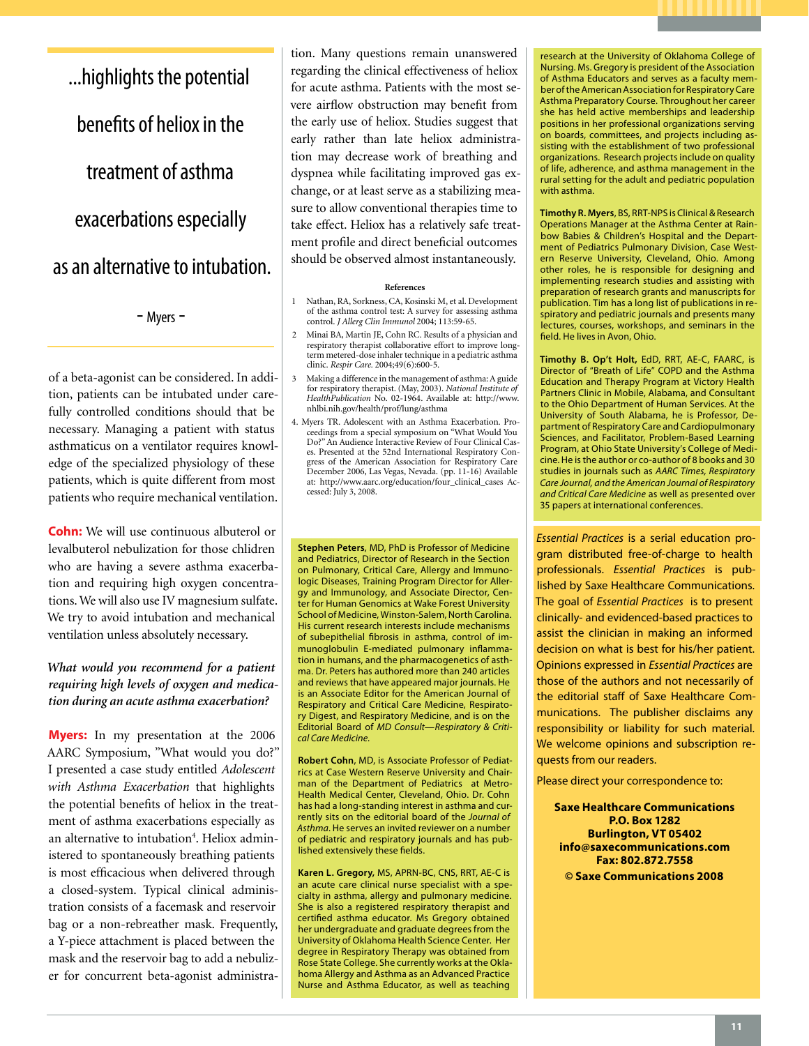...highlights the potential benefits of heliox in the treatment of asthma exacerbations especially as an alternative to intubation.

- Myers -

of a beta-agonist can be considered. In addition, patients can be intubated under carefully controlled conditions should that be necessary. Managing a patient with status asthmaticus on a ventilator requires knowledge of the specialized physiology of these patients, which is quite different from most patients who require mechanical ventilation.

**Cohn:** We will use continuous albuterol or levalbuterol nebulization for those chlidren who are having a severe asthma exacerbation and requiring high oxygen concentrations. We will also use IV magnesium sulfate. We try to avoid intubation and mechanical ventilation unless absolutely necessary.

# *What would you recommend for a patient requiring high levels of oxygen and medication during an acute asthma exacerbation?*

**Myers:** In my presentation at the 2006 AARC Symposium, "What would you do?" I presented a case study entitled *Adolescent with Asthma Exacerbation* that highlights the potential benefits of heliox in the treatment of asthma exacerbations especially as an alternative to intubation<sup>4</sup>. Heliox administered to spontaneously breathing patients is most efficacious when delivered through a closed-system. Typical clinical administration consists of a facemask and reservoir bag or a non-rebreather mask. Frequently, a Y-piece attachment is placed between the mask and the reservoir bag to add a nebulizer for concurrent beta-agonist administration. Many questions remain unanswered regarding the clinical effectiveness of heliox for acute asthma. Patients with the most severe airflow obstruction may benefit from the early use of heliox. Studies suggest that early rather than late heliox administration may decrease work of breathing and dyspnea while facilitating improved gas exchange, or at least serve as a stabilizing measure to allow conventional therapies time to take effect. Heliox has a relatively safe treatment profile and direct beneficial outcomes should be observed almost instantaneously.

#### **References**

- 1 Nathan, RA, Sorkness, CA, Kosinski M, et al. Development of the asthma control test: A survey for assessing asthma control. *J Allerg Clin Immunol* 2004; 113:59-65.
- 2 Minai BA, Martin JE, Cohn RC. Results of a physician and respiratory therapist collaborative effort to improve longterm metered-dose inhaler technique in a pediatric asthma clinic. *Respir Care.* 2004;49(6):600-5.
- 3 Making a difference in the management of asthma: A guide for respiratory therapist. (May, 2003). *National Institute of HealthPublication* No. 02-1964. Available at: http://www. nhlbi.nih.gov/health/prof/lung/asthma
- 4. Myers TR. Adolescent with an Asthma Exacerbation. Proceedings from a special symposium on "What Would You Do?" An Audience Interactive Review of Four Clinical Cases. Presented at the 52nd International Respiratory Congress of the American Association for Respiratory Care December 2006, Las Vegas, Nevada. (pp. 11-16) Available at: http://www.aarc.org/education/four\_clinical\_cases Accessed: July 3, 2008.

**Stephen Peters**, MD, PhD is Professor of Medicine and Pediatrics, Director of Research in the Section on Pulmonary, Critical Care, Allergy and Immunologic Diseases, Training Program Director for Allergy and Immunology, and Associate Director, Center for Human Genomics at Wake Forest University School of Medicine, Winston-Salem, North Carolina. His current research interests include mechanisms of subepithelial fibrosis in asthma, control of immunoglobulin E-mediated pulmonary inflammation in humans, and the pharmacogenetics of asthma. Dr. Peters has authored more than 240 articles and reviews that have appeared major journals. He is an Associate Editor for the American Journal of Respiratory and Critical Care Medicine, Respiratory Digest, and Respiratory Medicine, and is on the Editorial Board of *MD Consult—Respiratory & Critical Care Medicine.*

**Robert Cohn**, MD, is Associate Professor of Pediatrics at Case Western Reserve University and Chairman of the Department of Pediatrics at Metro-Health Medical Center, Cleveland, Ohio. Dr. Cohn has had a long-standing interest in asthma and currently sits on the editorial board of the *Journal of Asthma*. He serves an invited reviewer on a number of pediatric and respiratory journals and has published extensively these fields.

**Karen L. Gregory,** MS, APRN-BC, CNS, RRT, AE-C is an acute care clinical nurse specialist with a specialty in asthma, allergy and pulmonary medicine. She is also a registered respiratory therapist and certified asthma educator. Ms Gregory obtained her undergraduate and graduate degrees from the University of Oklahoma Health Science Center. Her degree in Respiratory Therapy was obtained from Rose State College. She currently works at the Oklahoma Allergy and Asthma as an Advanced Practice Nurse and Asthma Educator, as well as teaching research at the University of Oklahoma College of Nursing. Ms. Gregory is president of the Association of Asthma Educators and serves as a faculty member of the American Association for Respiratory Care Asthma Preparatory Course. Throughout her career she has held active memberships and leadership positions in her professional organizations serving on boards, committees, and projects including assisting with the establishment of two professional organizations. Research projects include on quality of life, adherence, and asthma management in the rural setting for the adult and pediatric population with asthma.

**Timothy R. Myers**, BS, RRT-NPS is Clinical & Research Operations Manager at the Asthma Center at Rainbow Babies & Children's Hospital and the Department of Pediatrics Pulmonary Division, Case Western Reserve University, Cleveland, Ohio. Among other roles, he is responsible for designing and implementing research studies and assisting with preparation of research grants and manuscripts for publication. Tim has a long list of publications in respiratory and pediatric journals and presents many lectures, courses, workshops, and seminars in the field. He lives in Avon, Ohio.

**Timothy B. Op't Holt,** EdD, RRT, AE-C, FAARC, is Director of "Breath of Life" COPD and the Asthma Education and Therapy Program at Victory Health Partners Clinic in Mobile, Alabama, and Consultant to the Ohio Department of Human Services. At the University of South Alabama, he is Professor, Department of Respiratory Care and Cardiopulmonary Sciences, and Facilitator, Problem-Based Learning Program, at Ohio State University's College of Medicine. He is the author or co-author of 8 books and 30 studies in journals such as *AARC Times, Respiratory Care Journal, and the American Journal of Respiratory and Critical Care Medicine* as well as presented over 35 papers at international conferences.

*Essential Practices* is a serial education program distributed free-of-charge to health professionals. *Essential Practices* is published by Saxe Healthcare Communications. The goal of *Essential Practices* is to present clinically- and evidenced-based practices to assist the clinician in making an informed decision on what is best for his/her patient. Opinions expressed in *Essential Practices* are those of the authors and not necessarily of the editorial staff of Saxe Healthcare Communications. The publisher disclaims any responsibility or liability for such material. We welcome opinions and subscription requests from our readers.

Please direct your correspondence to:

**Saxe Healthcare Communications P.O. Box 1282 Burlington, VT 05402 info@saxecommunications.com Fax: 802.872.7558 © Saxe Communications 2008**